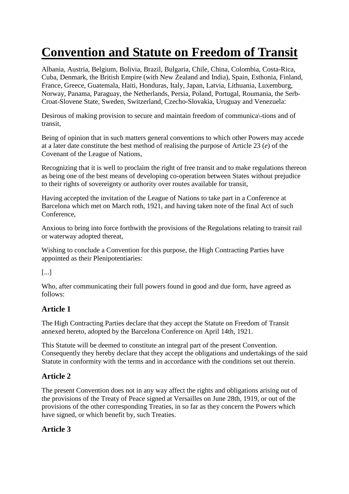# **Convention and Statute on Freedom of Transit**

Albania, Austria, Belgium, Bolivia, Brazil, Bulgaria, Chile, China, Colombia, Costa-Rica, Cuba, Denmark, the British Empire (with New Zealand and India), Spain, Esthonia, Finland, France, Greece, Guatemala, Haiti, Honduras, Italy, Japan, Latvia, Lithuania, Luxemburg, Norway, Panama, Paraguay, the Netherlands, Persia, Poland, Portugal, Roumania, the Serb-Croat-Slovene State, Sweden, Switzerland, Czecho-Slovakia, Uruguay and Venezuela:

Desirous of making provision to secure and maintain freedom of communica\-tions and of transit,

Being of opinion that in such matters general conventions to which other Powers may accede at a later date constitute the best method of realising the purpose of Article 23 (*e*) of the Covenant of the League of Nations,

Recognizing that it is well to proclaim the right of free transit and to make regulations thereon as being one of the best means of developing co-operation between States without prejudice to their rights of sovereignty or authority over routes available for transit,

Having accepted the invitation of the League of Nations to take part in a Conference at Barcelona which met on March roth, 1921, and having taken note of the final Act of such Conference,

Anxious to bring into force forthwith the provisions of the Regulations relating to transit rail or waterway adopted thereat,

Wishing to conclude a Convention for this purpose, the High Contracting Parties have appointed as their Plenipotentiaries:

#### [...]

Who, after communicating their full powers found in good and due form, have agreed as follows:

#### **Article 1**

The High Contracting Parties declare that they accept the Statute on Freedom of Transit annexed hereto, adopted by the Barcelona Conference on April 14th, 1921.

This Statute will be deemed to constitute an integral part of the present Convention. Consequently they hereby declare that they accept the obligations and undertakings of the said Statute in conformity with the terms and in accordance with the conditions set out therein.

#### **Article 2**

The present Convention does not in any way affect the rights and obligations arising out of the provisions of the Treaty of Peace signed at Versailles on June 28th, 1919, or out of the provisions of the other corresponding Treaties, in so far as they concern the Powers which have signed, or which benefit by, such Treaties.

#### **Article 3**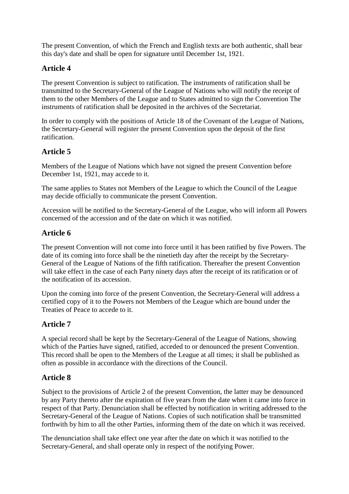The present Convention, of which the French and English texts are both authentic, shall bear this day's date and shall be open for signature until December 1st, 1921.

#### **Article 4**

The present Convention is subject to ratification. The instruments of ratification shall be transmitted to the Secretary-General of the League of Nations who will notify the receipt of them to the other Members of the League and to States admitted to sign the Convention The instruments of ratification shall be deposited in the archives of the Secretariat.

In order to comply with the positions of Article 18 of the Covenant of the League of Nations, the Secretary-General will register the present Convention upon the deposit of the first ratification.

#### **Article 5**

Members of the League of Nations which have not signed the present Convention before December 1st, 1921, may accede to it.

The same applies to States not Members of the League to which the Council of the League may decide officially to communicate the present Convention.

Accession will be notified to the Secretary-General of the League, who will inform all Powers concerned of the accession and of the date on which it was notified.

### **Article 6**

The present Convention will not come into force until it has been ratified by five Powers. The date of its coming into force shall be the ninetieth day after the receipt by the Secretary-General of the League of Nations of the fifth ratification. Thereafter the present Convention will take effect in the case of each Party ninety days after the receipt of its ratification or of the notification of its accession.

Upon the coming into force of the present Convention, the Secretary-General will address a certified copy of it to the Powers not Members of the League which are bound under the Treaties of Peace to accede to it.

#### **Article 7**

A special record shall be kept by the Secretary-General of the League of Nations, showing which of the Parties have signed, ratified, acceded to or denounced the present Convention. This record shall be open to the Members of the League at all times; it shall be published as often as possible in accordance with the directions of the Council.

#### **Article 8**

Subject to the provisions of Article 2 of the present Convention, the latter may be denounced by any Party thereto after the expiration of five years from the date when it came into force in respect of that Party. Denunciation shall be effected by notification in writing addressed to the Secretary-General of the League of Nations. Copies of such notification shall be transmitted forthwith by him to all the other Parties, informing them of the date on which it was received.

The denunciation shall take effect one year after the date on which it was notified to the Secretary-General, and shall operate only in respect of the notifying Power.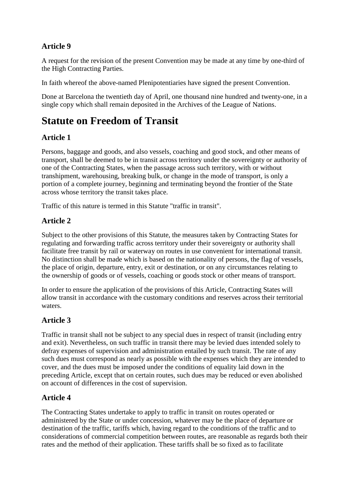# **Article 9**

A request for the revision of the present Convention may be made at any time by one-third of the High Contracting Parties.

In faith whereof the above-named Plenipotentiaries have signed the present Convention.

Done at Barcelona the twentieth day of April, one thousand nine hundred and twenty-one, in a single copy which shall remain deposited in the Archives of the League of Nations.

# **Statute on Freedom of Transit**

# **Article 1**

Persons, baggage and goods, and also vessels, coaching and good stock, and other means of transport, shall be deemed to be in transit across territory under the sovereignty or authority of one of the Contracting States, when the passage across such territory, with or without transhipment, warehousing, breaking bulk, or change in the mode of transport, is only a portion of a complete journey, beginning and terminating beyond the frontier of the State across whose territory the transit takes place.

Traffic of this nature is termed in this Statute "traffic in transit".

### **Article 2**

Subject to the other provisions of this Statute, the measures taken by Contracting States for regulating and forwarding traffic across territory under their sovereignty or authority shall facilitate free transit by rail or waterway on routes in use convenient for international transit. No distinction shall be made which is based on the nationality of persons, the flag of vessels, the place of origin, departure, entry, exit or destination, or on any circumstances relating to the ownership of goods or of vessels, coaching or goods stock or other means of transport.

In order to ensure the application of the provisions of this Article, Contracting States will allow transit in accordance with the customary conditions and reserves across their territorial waters.

#### **Article 3**

Traffic in transit shall not be subject to any special dues in respect of transit (including entry and exit). Nevertheless, on such traffic in transit there may be levied dues intended solely to defray expenses of supervision and administration entailed by such transit. The rate of any such dues must correspond as nearly as possible with the expenses which they are intended to cover, and the dues must be imposed under the conditions of equality laid down in the preceding Article, except that on certain routes, such dues may be reduced or even abolished on account of differences in the cost of supervision.

#### **Article 4**

The Contracting States undertake to apply to traffic in transit on routes operated or administered by the State or under concession, whatever may be the place of departure or destination of the traffic, tariffs which, having regard to the conditions of the traffic and to considerations of commercial competition between routes, are reasonable as regards both their rates and the method of their application. These tariffs shall be so fixed as to facilitate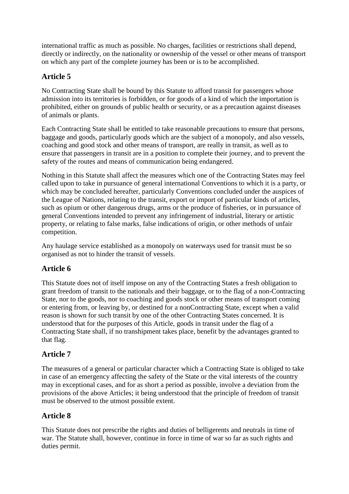international traffic as much as possible. No charges, facilities or restrictions shall depend, directly or indirectly, on the nationality or ownership of the vessel or other means of transport on which any part of the complete journey has been or is to be accomplished.

# **Article 5**

No Contracting State shall be bound by this Statute to afford transit for passengers whose admission into its territories is forbidden, or for goods of a kind of which the importation is prohibited, either on grounds of public health or security, or as a precaution against diseases of animals or plants.

Each Contracting State shall be entitled to take reasonable precautions to ensure that persons, baggage and goods, particularly goods which are the subject of a monopoly, and also vessels, coaching and good stock and other means of transport, are really in transit, as well as to ensure that passengers in transit are in a position to complete their journey, and to prevent the safety of the routes and means of communication being endangered.

Nothing in this Statute shall affect the measures which one of the Contracting States may feel called upon to take in pursuance of general international Conventions to which it is a party, or which may be concluded hereafter, particularly Conventions concluded under the auspices of the League of Nations, relating to the transit, export or import of particular kinds of articles, such as opium or other dangerous drugs, arms or the produce of fisheries, or in pursuance of general Conventions intended to prevent any infringement of industrial, literary or artistic property, or relating to false marks, false indications of origin, or other methods of unfair competition.

Any haulage service established as a monopoly on waterways used for transit must be so organised as not to hinder the transit of vessels.

# **Article 6**

This Statute does not of itself impose on any of the Contracting States a fresh obligation to grant freedom of transit to the nationals and their baggage, or to the flag of a non-Contracting State, nor to the goods, nor to coaching and goods stock or other means of transport coming or entering from, or leaving by, or destined for a nonContracting State, except when a valid reason is shown for such transit by one of the other Contracting States concerned. It is understood that for the purposes of this Article, goods in transit under the flag of a Contracting State shall, if no transhipment takes place, benefit by the advantages granted to that flag.

# **Article 7**

The measures of a general or particular character which a Contracting State is obliged to take in case of an emergency affecting the safety of the State or the vital interests of the country may in exceptional cases, and for as short a period as possible, involve a deviation from the provisions of the above Articles; it being understood that the principle of freedom of transit must be observed to the utmost possible extent.

# **Article 8**

This Statute does not prescribe the rights and duties of belligerents and neutrals in time of war. The Statute shall, however, continue in force in time of war so far as such rights and duties permit.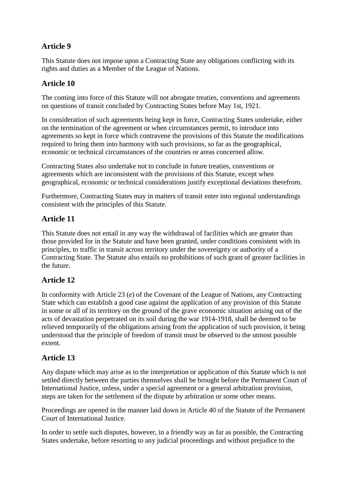### **Article 9**

This Statute does not impose upon a Contracting State any obligations conflicting with its rights and duties as a Member of the League of Nations.

#### **Article 10**

The coming into force of this Statute will not abrogate treaties, conventions and agreements on questions of transit concluded by Contracting States before May 1st, 1921.

In consideration of such agreements being kept in force, Contracting States undertake, either on the termination of the agreement or when circumstances permit, to introduce into agreements so kept in force which contravene the provisions of this Statute the modifications required to bring them into harmony with such provisions, so far as the geographical, economic or technical circumstances of the countries or areas concerned allow.

Contracting States also undertake not to conclude in future treaties, conventions or agreements which are inconsistent with the provisions of this Statute, except when geographical, economic or technical considerations justify exceptional deviations therefrom.

Furthermore, Contracting States may in matters of transit enter into regional understandings consistent with the principles of this Statute.

### **Article 11**

This Statute does not entail in any way the withdrawal of facilities which are greater than those provided for in the Statute and have been granted, under conditions consistent with its principles, to traffic in transit across territory under the sovereignty or authority of a Contracting State. The Statute also entails no prohibitions of such grant of greater facilities in the future.

#### **Article 12**

In conformity with Article 23 (*e*) of the Covenant of the League of Nations, any Contracting State which can establish a good case against the application of any provision of this Statute in some or all of its territory on the ground of the grave economic situation arising out of the acts of devastation perpetrated on its soil during the war 1914-1918, shall be deemed to be relieved temporarily of the obligations arising from the application of such provision, it being understood that the principle of freedom of transit must be observed to the utmost possible extent.

# **Article 13**

Any dispute which may arise as to the interpretation or application of this Statute which is not settled directly between the parties themselves shall be brought before the Permanent Court of International Justice, unless, under a special agreement or a general arbitration provision, steps are taken for the settlement of the dispute by arbitration or some other means.

Proceedings are opened in the manner laid down in Article 40 of the Statute of the Permanent Court of International Justice.

In order to settle such disputes, however, in a friendly way as far as possible, the Contracting States undertake, before resorting to any judicial proceedings and without prejudice to the